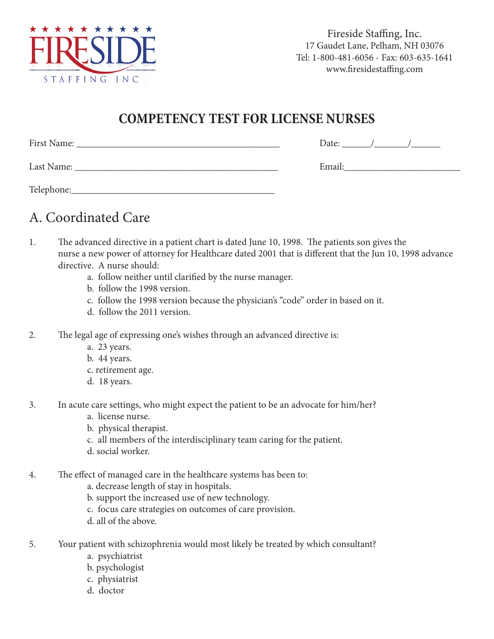

Fireside Staffing, Inc. 17 Gaudet Lane, Pelham, NH 03076 Tel: 1-800-481-6056 - Fax: 603-635-1641 www.firesidestaffing.com

#### **COMPETENCY TEST FOR LICENSE NURSES**

| First Name: | Date:  |
|-------------|--------|
| Last Name:  | Email: |
| Telephone:  |        |

## A. Coordinated Care

- 1. The advanced directive in a patient chart is dated June 10, 1998. The patients son gives the nurse a new power of attorney for Healthcare dated 2001 that is different that the Jun 10, 1998 advance directive. A nurse should:
	- a. follow neither until clarified by the nurse manager.
	- b. follow the 1998 version.
	- c. follow the 1998 version because the physician's "code" order in based on it.
	- d. follow the 2011 version.
- 2. The legal age of expressing one's wishes through an advanced directive is:
	- a. 23 years.
	- b. 44 years.
	- c. retirement age.
	- d. 18 years.
- 3. In acute care settings, who might expect the patient to be an advocate for him/her?
	- a. license nurse.
	- b. physical therapist.
	- c. all members of the interdisciplinary team caring for the patient.
	- d. social worker.
- 4. The effect of managed care in the healthcare systems has been to:
	- a. decrease length of stay in hospitals.
	- b. support the increased use of new technology.
	- c. focus care strategies on outcomes of care provision.
	- d. all of the above.
- 5. Your patient with schizophrenia would most likely be treated by which consultant?
	- a. psychiatrist
	- b. psychologist
	- c. physiatrist
	- d. doctor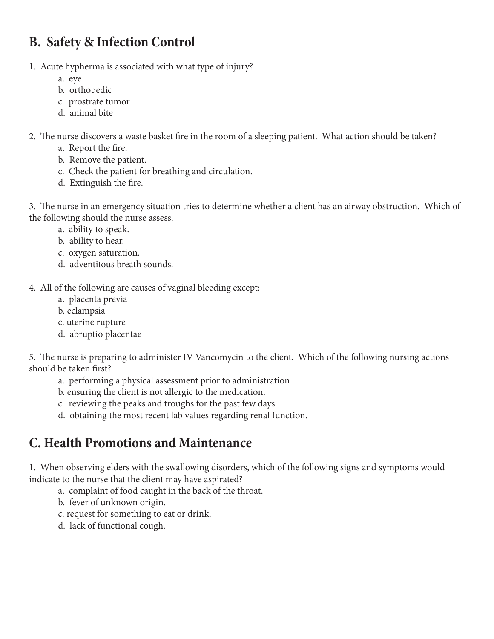# **B. Safety & Infection Control**

- 1. Acute hypherma is associated with what type of injury?
	- a. eye
	- b. orthopedic
	- c. prostrate tumor
	- d. animal bite
- 2. The nurse discovers a waste basket fire in the room of a sleeping patient. What action should be taken?
	- a. Report the fire.
	- b. Remove the patient.
	- c. Check the patient for breathing and circulation.
	- d. Extinguish the fire.

3. The nurse in an emergency situation tries to determine whether a client has an airway obstruction. Which of the following should the nurse assess.

- a. ability to speak.
- b. ability to hear.
- c. oxygen saturation.
- d. adventitous breath sounds.

4. All of the following are causes of vaginal bleeding except:

- a. placenta previa
- b. eclampsia
- c. uterine rupture
- d. abruptio placentae

5. The nurse is preparing to administer IV Vancomycin to the client. Which of the following nursing actions should be taken first?

- a. performing a physical assessment prior to administration
- b. ensuring the client is not allergic to the medication.
- c. reviewing the peaks and troughs for the past few days.
- d. obtaining the most recent lab values regarding renal function.

### **C. Health Promotions and Maintenance**

1. When observing elders with the swallowing disorders, which of the following signs and symptoms would indicate to the nurse that the client may have aspirated?

- a. complaint of food caught in the back of the throat.
- b. fever of unknown origin.
- c. request for something to eat or drink.
- d. lack of functional cough.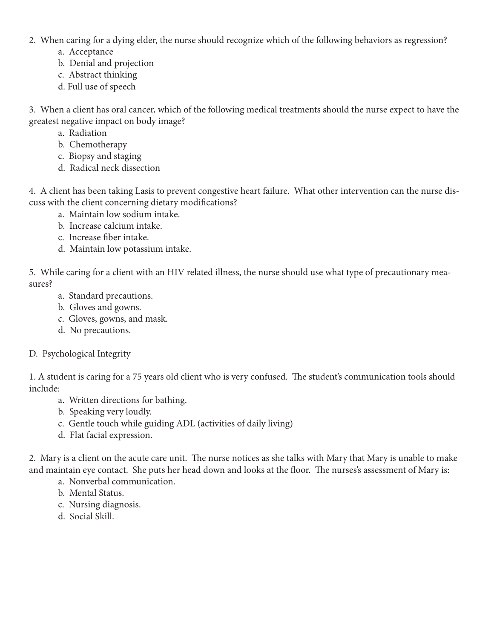- 2. When caring for a dying elder, the nurse should recognize which of the following behaviors as regression?
	- a. Acceptance
	- b. Denial and projection
	- c. Abstract thinking
	- d. Full use of speech

3. When a client has oral cancer, which of the following medical treatments should the nurse expect to have the greatest negative impact on body image?

- a. Radiation
- b. Chemotherapy
- c. Biopsy and staging
- d. Radical neck dissection

4. A client has been taking Lasis to prevent congestive heart failure. What other intervention can the nurse discuss with the client concerning dietary modifications?

- a. Maintain low sodium intake.
- b. Increase calcium intake.
- c. Increase fiber intake.
- d. Maintain low potassium intake.

5. While caring for a client with an HIV related illness, the nurse should use what type of precautionary measures?

- a. Standard precautions.
- b. Gloves and gowns.
- c. Gloves, gowns, and mask.
- d. No precautions.

#### D. Psychological Integrity

1. A student is caring for a 75 years old client who is very confused. The student's communication tools should include:

- a. Written directions for bathing.
- b. Speaking very loudly.
- c. Gentle touch while guiding ADL (activities of daily living)
- d. Flat facial expression.

2. Mary is a client on the acute care unit. The nurse notices as she talks with Mary that Mary is unable to make and maintain eye contact. She puts her head down and looks at the floor. The nurses's assessment of Mary is:

- a. Nonverbal communication.
- b. Mental Status.
- c. Nursing diagnosis.
- d. Social Skill.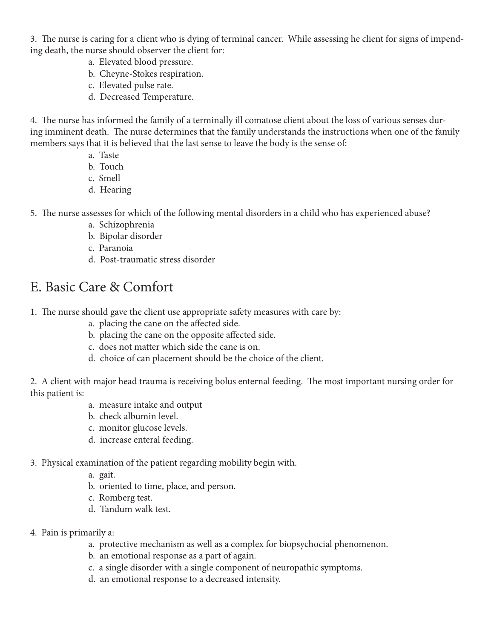3. The nurse is caring for a client who is dying of terminal cancer. While assessing he client for signs of impending death, the nurse should observer the client for:

- a. Elevated blood pressure.
- b. Cheyne-Stokes respiration.
- c. Elevated pulse rate.
- d. Decreased Temperature.

4. The nurse has informed the family of a terminally ill comatose client about the loss of various senses during imminent death. The nurse determines that the family understands the instructions when one of the family members says that it is believed that the last sense to leave the body is the sense of:

- a. Taste
- b. Touch
- c. Smell
- d. Hearing
- 5. The nurse assesses for which of the following mental disorders in a child who has experienced abuse?
	- a. Schizophrenia
	- b. Bipolar disorder
	- c. Paranoia
	- d. Post-traumatic stress disorder

#### E. Basic Care & Comfort

- 1. The nurse should gave the client use appropriate safety measures with care by:
	- a. placing the cane on the affected side.
	- b. placing the cane on the opposite affected side.
	- c. does not matter which side the cane is on.
	- d. choice of can placement should be the choice of the client.

2. A client with major head trauma is receiving bolus enternal feeding. The most important nursing order for this patient is:

- a. measure intake and output
- b. check albumin level.
- c. monitor glucose levels.
- d. increase enteral feeding.

#### 3. Physical examination of the patient regarding mobility begin with.

- a. gait.
- b. oriented to time, place, and person.
- c. Romberg test.
- d. Tandum walk test.
- 4. Pain is primarily a:
	- a. protective mechanism as well as a complex for biopsychocial phenomenon.
	- b. an emotional response as a part of again.
	- c. a single disorder with a single component of neuropathic symptoms.
	- d. an emotional response to a decreased intensity.